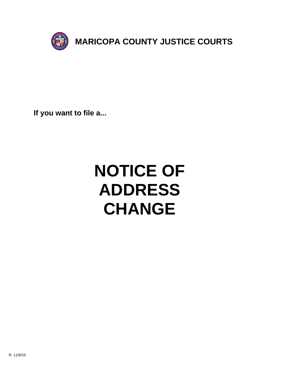

**If you want to file a...**

# **NOTICE OF ADDRESS CHANGE**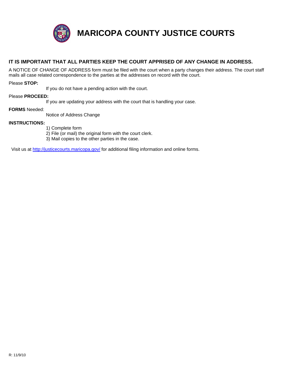

**MARICOPA COUNTY JUSTICE COURTS**

## **IT IS IMPORTANT THAT ALL PARTIES KEEP THE COURT APPRISED OF ANY CHANGE IN ADDRESS.**

A NOTICE OF CHANGE OF ADDRESS form must be filed with the court when a party changes their address. The court staff mails all case related correspondence to the parties at the addresses on record with the court.

#### Please **STOP:**

If you do not have a pending action with the court.

#### Please **PROCEED:**

If you are updating your address with the court that is handling your case.

#### **FORMS** Needed:

[Notice of Address Change](http://justicecourts.maricopa.gov/)

### **INSTRUCTIONS:**

- 1) Complete form
- 2) File (or mail) the original form with the court clerk.
- 3) Mail copies to the other parties in the case.

Visit us at http://justicecourts.maricopa.gov/ for additional filing information and online forms.